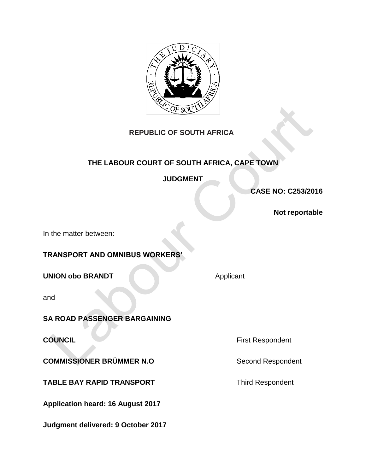

# **REPUBLIC OF SOUTH AFRICA**

# **THE LABOUR COURT OF SOUTH AFRICA, CAPE TOWN**

**JUDGMENT**

**CASE NO: C253/2016**

**Not reportable**

In the matter between:

**TRANSPORT AND OMNIBUS WORKERS'**

**UNION obo BRANDT** Applicant

and

### **SA ROAD PASSENGER BARGAINING**

**COMMISSIONER BRÜMMER N.O** Second Respondent

**TABLE BAY RAPID TRANSPORT** TABLE **THE THE SET OF A TH** 

**Application heard: 16 August 2017**

**Judgment delivered: 9 October 2017**

**COUNCIL COUNCIL First Respondent**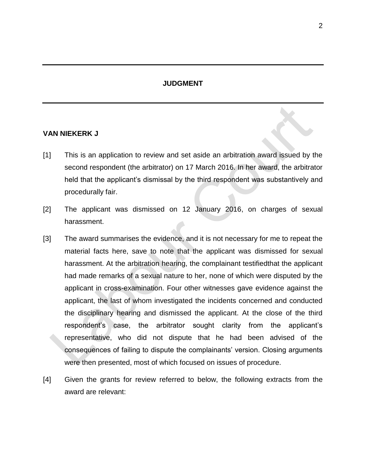### **JUDGMENT**

#### **VAN NIEKERK J**

- [1] This is an application to review and set aside an arbitration award issued by the second respondent (the arbitrator) on 17 March 2016. In her award, the arbitrator held that the applicant's dismissal by the third respondent was substantively and procedurally fair.
- [2] The applicant was dismissed on 12 January 2016, on charges of sexual harassment.
- [3] The award summarises the evidence, and it is not necessary for me to repeat the material facts here, save to note that the applicant was dismissed for sexual harassment. At the arbitration hearing, the complainant testifiedthat the applicant had made remarks of a sexual nature to her, none of which were disputed by the applicant in cross-examination. Four other witnesses gave evidence against the applicant, the last of whom investigated the incidents concerned and conducted the disciplinary hearing and dismissed the applicant. At the close of the third respondent's case, the arbitrator sought clarity from the applicant's representative, who did not dispute that he had been advised of the consequences of failing to dispute the complainants' version. Closing arguments were then presented, most of which focused on issues of procedure.
- [4] Given the grants for review referred to below, the following extracts from the award are relevant: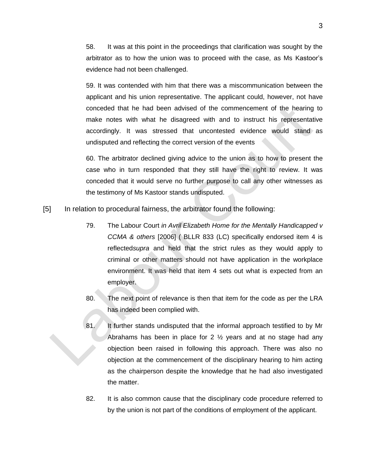58. It was at this point in the proceedings that clarification was sought by the arbitrator as to how the union was to proceed with the case, as Ms Kastoor's evidence had not been challenged.

59. It was contended with him that there was a miscommunication between the applicant and his union representative. The applicant could, however, not have conceded that he had been advised of the commencement of the hearing to make notes with what he disagreed with and to instruct his representative accordingly. It was stressed that uncontested evidence would stand as undisputed and reflecting the correct version of the events

60. The arbitrator declined giving advice to the union as to how to present the case who in turn responded that they still have the right to review. It was conceded that it would serve no further purpose to call any other witnesses as the testimony of Ms Kastoor stands undisputed.

- [5] In relation to procedural fairness, the arbitrator found the following:
	- 79. The Labour Court *in Avril Elizabeth Home for the Mentally Handicapped v CCMA & others* [2006] ( BLLR 833 (LC) specifically endorsed item 4 is reflected*supra* and held that the strict rules as they would apply to criminal or other matters should not have application in the workplace environment. It was held that item 4 sets out what is expected from an employer.
	- 80. The next point of relevance is then that item for the code as per the LRA has indeed been complied with.
	- 81. It further stands undisputed that the informal approach testified to by Mr Abrahams has been in place for 2  $\frac{1}{2}$  years and at no stage had any objection been raised in following this approach. There was also no objection at the commencement of the disciplinary hearing to him acting as the chairperson despite the knowledge that he had also investigated the matter.
	- 82. It is also common cause that the disciplinary code procedure referred to by the union is not part of the conditions of employment of the applicant.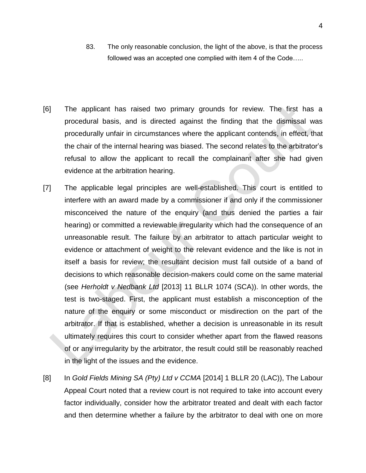- 83. The only reasonable conclusion, the light of the above, is that the process followed was an accepted one complied with item 4 of the Code.....
- [6] The applicant has raised two primary grounds for review. The first has a procedural basis, and is directed against the finding that the dismissal was procedurally unfair in circumstances where the applicant contends, in effect, that the chair of the internal hearing was biased. The second relates to the arbitrator's refusal to allow the applicant to recall the complainant after she had given evidence at the arbitration hearing.
- [7] The applicable legal principles are well-established. This court is entitled to interfere with an award made by a commissioner if and only if the commissioner misconceived the nature of the enquiry (and thus denied the parties a fair hearing) or committed a reviewable irregularity which had the consequence of an unreasonable result. The failure by an arbitrator to attach particular weight to evidence or attachment of weight to the relevant evidence and the like is not in itself a basis for review; the resultant decision must fall outside of a band of decisions to which reasonable decision-makers could come on the same material (see *Herholdt v Nedbank Ltd* [2013] 11 BLLR 1074 (SCA)). In other words, the test is two-staged. First, the applicant must establish a misconception of the nature of the enquiry or some misconduct or misdirection on the part of the arbitrator. If that is established, whether a decision is unreasonable in its result ultimately requires this court to consider whether apart from the flawed reasons of or any irregularity by the arbitrator, the result could still be reasonably reached in the light of the issues and the evidence.
- [8] In *Gold Fields Mining SA (Pty) Ltd v CCMA* [2014] 1 BLLR 20 (LAC)), The Labour Appeal Court noted that a review court is not required to take into account every factor individually, consider how the arbitrator treated and dealt with each factor and then determine whether a failure by the arbitrator to deal with one on more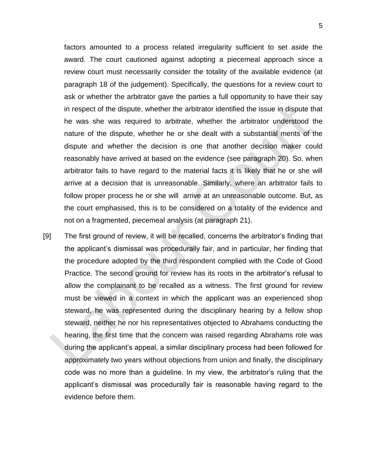factors amounted to a process related irregularity sufficient to set aside the award. The court cautioned against adopting a piecemeal approach since a review court must necessarily consider the totality of the available evidence (at paragraph 18 of the judgement). Specifically, the questions for a review court to ask or whether the arbitrator gave the parties a full opportunity to have their say in respect of the dispute, whether the arbitrator identified the issue in dispute that he was she was required to arbitrate, whether the arbitrator understood the nature of the dispute, whether he or she dealt with a substantial merits of the dispute and whether the decision is one that another decision maker could reasonably have arrived at based on the evidence (see paragraph 20). So, when arbitrator fails to have regard to the material facts it is likely that he or she will arrive at a decision that is unreasonable. Similarly, where an arbitrator fails to follow proper process he or she will arrive at an unreasonable outcome. But, as the court emphasised, this is to be considered on a totality of the evidence and not on a fragmented, piecemeal analysis (at paragraph 21).

[9] The first ground of review, it will be recalled, concerns the arbitrator's finding that the applicant's dismissal was procedurally fair, and in particular, her finding that the procedure adopted by the third respondent complied with the Code of Good Practice. The second ground for review has its roots in the arbitrator's refusal to allow the complainant to be recalled as a witness. The first ground for review must be viewed in a context in which the applicant was an experienced shop steward, he was represented during the disciplinary hearing by a fellow shop steward, neither he nor his representatives objected to Abrahams conducting the hearing, the first time that the concern was raised regarding Abrahams role was during the applicant's appeal, a similar disciplinary process had been followed for approximately two years without objections from union and finally, the disciplinary code was no more than a guideline. In my view, the arbitrator's ruling that the applicant's dismissal was procedurally fair is reasonable having regard to the evidence before them.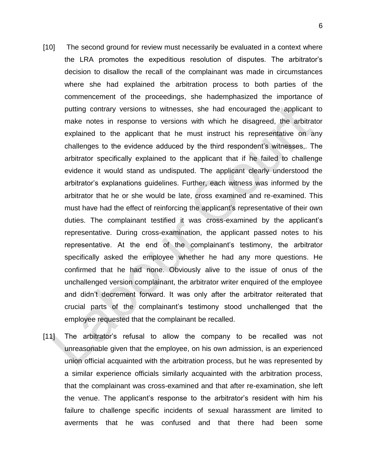- [10] The second ground for review must necessarily be evaluated in a context where the LRA promotes the expeditious resolution of disputes. The arbitrator's decision to disallow the recall of the complainant was made in circumstances where she had explained the arbitration process to both parties of the commencement of the proceedings, she hademphasized the importance of putting contrary versions to witnesses, she had encouraged the applicant to make notes in response to versions with which he disagreed, the arbitrator explained to the applicant that he must instruct his representative on any challenges to the evidence adduced by the third respondent's witnesses,. The arbitrator specifically explained to the applicant that if he failed to challenge evidence it would stand as undisputed. The applicant clearly understood the arbitrator's explanations guidelines. Further, each witness was informed by the arbitrator that he or she would be late, cross examined and re-examined. This must have had the effect of reinforcing the applicant's representative of their own duties. The complainant testified it was cross-examined by the applicant's representative. During cross-examination, the applicant passed notes to his representative. At the end of the complainant's testimony, the arbitrator specifically asked the employee whether he had any more questions. He confirmed that he had none. Obviously alive to the issue of onus of the unchallenged version complainant, the arbitrator writer enquired of the employee and didn't decrement forward. It was only after the arbitrator reiterated that crucial parts of the complainant's testimony stood unchallenged that the employee requested that the complainant be recalled.
- [11] The arbitrator's refusal to allow the company to be recalled was not unreasonable given that the employee, on his own admission, is an experienced union official acquainted with the arbitration process, but he was represented by a similar experience officials similarly acquainted with the arbitration process, that the complainant was cross-examined and that after re-examination, she left the venue. The applicant's response to the arbitrator's resident with him his failure to challenge specific incidents of sexual harassment are limited to averments that he was confused and that there had been some